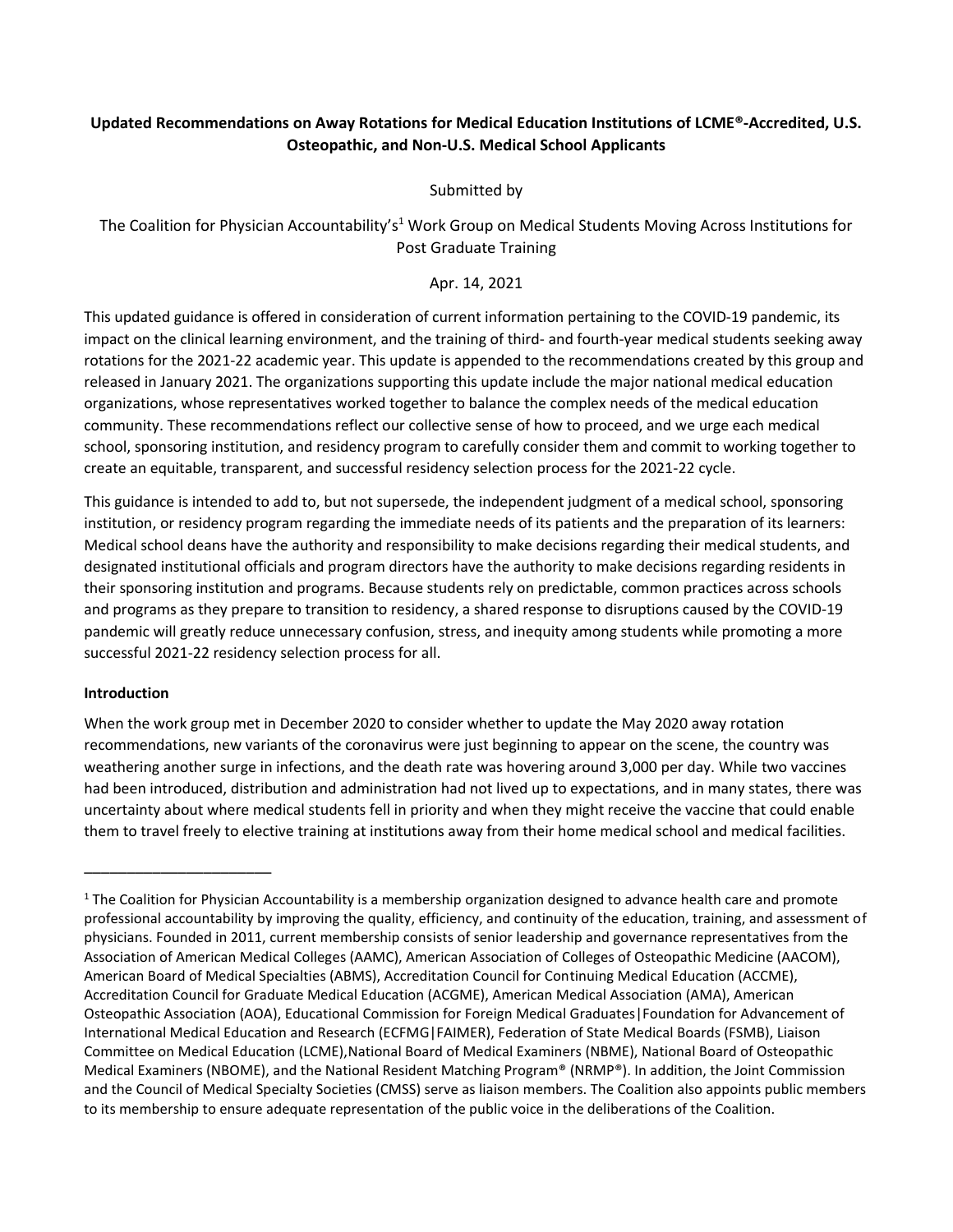## **Updated Recommendations on Away Rotations for Medical Education Institutions of LCME®-Accredited, U.S. Osteopathic, and Non-U.S. Medical School Applicants**

Submitted by

The Coalition for Physician Accountability's<sup>1</sup> Work Group on Medical Students Moving Across Institutions for Post Graduate Training

Apr. 14, 2021

This updated guidance is offered in consideration of current information pertaining to the COVID-19 pandemic, its impact on the clinical learning environment, and the training of third- and fourth-year medical students seeking away rotations for the 2021-22 academic year. This update is appended to the recommendations created by this group and released in January 2021. The organizations supporting this update include the major national medical education organizations, whose representatives worked together to balance the complex needs of the medical education community. These recommendations reflect our collective sense of how to proceed, and we urge each medical school, sponsoring institution, and residency program to carefully consider them and commit to working together to create an equitable, transparent, and successful residency selection process for the 2021-22 cycle.

This guidance is intended to add to, but not supersede, the independent judgment of a medical school, sponsoring institution, or residency program regarding the immediate needs of its patients and the preparation of its learners: Medical school deans have the authority and responsibility to make decisions regarding their medical students, and designated institutional officials and program directors have the authority to make decisions regarding residents in their sponsoring institution and programs. Because students rely on predictable, common practices across schools and programs as they prepare to transition to residency, a shared response to disruptions caused by the COVID-19 pandemic will greatly reduce unnecessary confusion, stress, and inequity among students while promoting a more successful 2021-22 residency selection process for all.

## **Introduction**

\_\_\_\_\_\_\_\_\_\_\_\_\_\_\_\_\_\_\_\_\_\_

When the work group met in December 2020 to consider whether to update the May 2020 away rotation recommendations, new variants of the coronavirus were just beginning to appear on the scene, the country was weathering another surge in infections, and the death rate was hovering around 3,000 per day. While two vaccines had been introduced, distribution and administration had not lived up to expectations, and in many states, there was uncertainty about where medical students fell in priority and when they might receive the vaccine that could enable them to travel freely to elective training at institutions away from their home medical school and medical facilities.

 $1$  The Coalition for Physician Accountability is a membership organization designed to advance health care and promote professional accountability by improving the quality, efficiency, and continuity of the education, training, and assessment of physicians. Founded in 2011, current membership consists of senior leadership and governance representatives from the Association of American Medical Colleges (AAMC), American Association of Colleges of Osteopathic Medicine (AACOM), American Board of Medical Specialties (ABMS), Accreditation Council for Continuing Medical Education (ACCME), Accreditation Council for Graduate Medical Education (ACGME), American Medical Association (AMA), American Osteopathic Association (AOA), Educational Commission for Foreign Medical Graduates|Foundation for Advancement of International Medical Education and Research (ECFMG|FAIMER), Federation of State Medical Boards (FSMB), Liaison Committee on Medical Education (LCME),National Board of Medical Examiners (NBME), National Board of Osteopathic Medical Examiners (NBOME), and the National Resident Matching Program® (NRMP®). In addition, the Joint Commission and the Council of Medical Specialty Societies (CMSS) serve as liaison members. The Coalition also appoints public members to its membership to ensure adequate representation of the public voice in the deliberations of the Coalition.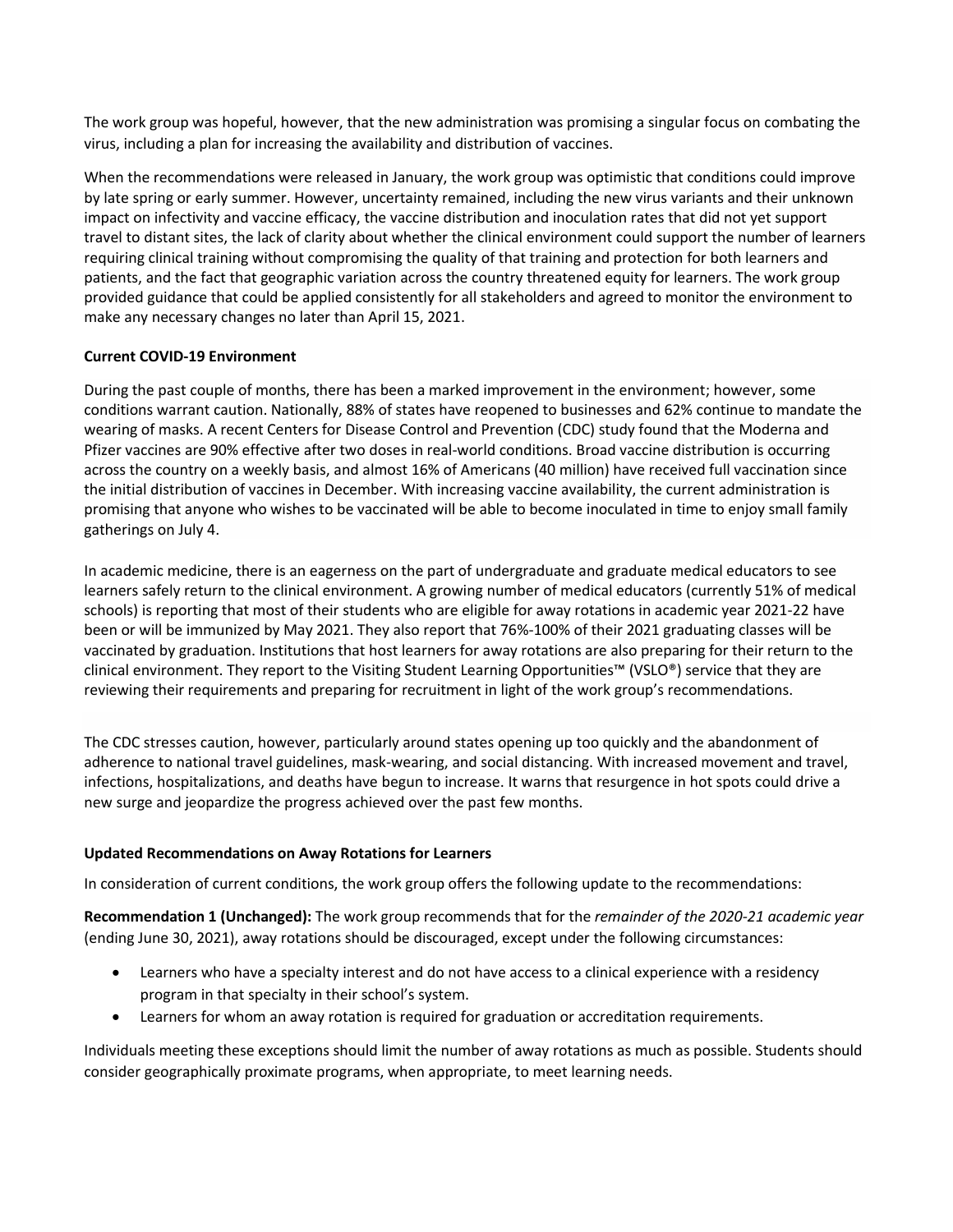The work group was hopeful, however, that the new administration was promising a singular focus on combating the virus, including a plan for increasing the availability and distribution of vaccines.

When the recommendations were released in January, the work group was optimistic that conditions could improve by late spring or early summer. However, uncertainty remained, including the new virus variants and their unknown impact on infectivity and vaccine efficacy, the vaccine distribution and inoculation rates that did not yet support travel to distant sites, the lack of clarity about whether the clinical environment could support the number of learners requiring clinical training without compromising the quality of that training and protection for both learners and patients, and the fact that geographic variation across the country threatened equity for learners. The work group provided guidance that could be applied consistently for all stakeholders and agreed to monitor the environment to make any necessary changes no later than April 15, 2021.

## **Current COVID-19 Environment**

During the past couple of months, there has been a marked improvement in the environment; however, some conditions warrant caution. Nationally, 88% of states have reopened to businesses and 62% continue to mandate the wearing of masks. A recent Centers for Disease Control and Prevention (CDC) study found that the Moderna and Pfizer vaccines are 90% effective after two doses in real-world conditions. Broad vaccine distribution is occurring across the country on a weekly basis, and almost 16% of Americans (40 million) have received full vaccination since the initial distribution of vaccines in December. With increasing vaccine availability, the current administration is promising that anyone who wishes to be vaccinated will be able to become inoculated in time to enjoy small family gatherings on July 4.

In academic medicine, there is an eagerness on the part of undergraduate and graduate medical educators to see learners safely return to the clinical environment. A growing number of medical educators (currently 51% of medical schools) is reporting that most of their students who are eligible for away rotations in academic year 2021-22 have been or will be immunized by May 2021. They also report that 76%-100% of their 2021 graduating classes will be vaccinated by graduation. Institutions that host learners for away rotations are also preparing for their return to the clinical environment. They report to the Visiting Student Learning Opportunities™ (VSLO®) service that they are reviewing their requirements and preparing for recruitment in light of the work group's recommendations.

The CDC stresses caution, however, particularly around states opening up too quickly and the abandonment of adherence to national travel guidelines, mask-wearing, and social distancing. With increased movement and travel, infections, hospitalizations, and deaths have begun to increase. It warns that resurgence in hot spots could drive a new surge and jeopardize the progress achieved over the past few months.

## **Updated Recommendations on Away Rotations for Learners**

In consideration of current conditions, the work group offers the following update to the recommendations:

**Recommendation 1 (Unchanged):** The work group recommends that for the *remainder of the 2020-21 academic year* (ending June 30, 2021), away rotations should be discouraged, except under the following circumstances:

- Learners who have a specialty interest and do not have access to a clinical experience with a residency program in that specialty in their school's system.
- Learners for whom an away rotation is required for graduation or accreditation requirements.

Individuals meeting these exceptions should limit the number of away rotations as much as possible. Students should consider geographically proximate programs, when appropriate, to meet learning needs.